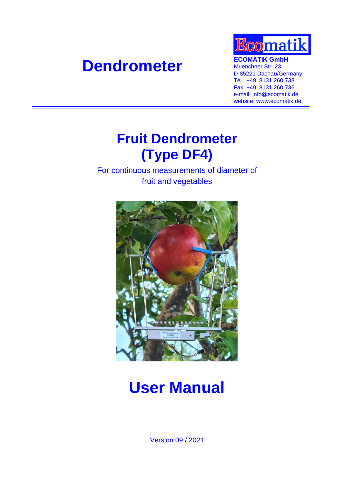# **Dendrometer ECOMATIK GmbH**<br> **Muenchner Str. 23**



Muenchner Str. 23 D-85221 Dachau/Germany Tel.: +49 8131 260 738 Fax: +49 8131 260 736 e-mail: info@ecomatik.de website: www.ecomatik.de

## **Fruit Dendrometer (Type DF4)**

For continuous measurements of diameter of fruit and vegetables



## **User Manual**

Version 09 / 2021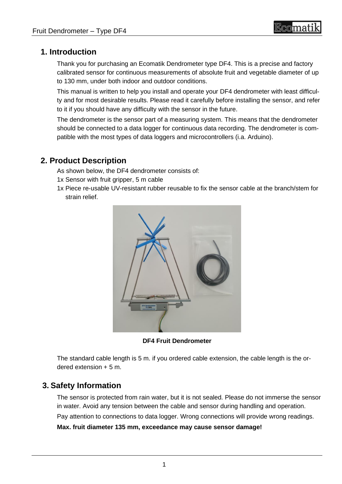## reomati

## **1. Introduction**

Thank you for purchasing an Ecomatik Dendrometer type DF4. This is a precise and factory calibrated sensor for continuous measurements of absolute fruit and vegetable diameter of up to 130 mm, under both indoor and outdoor conditions.

This manual is written to help you install and operate your DF4 dendrometer with least difficulty and for most desirable results. Please read it carefully before installing the sensor, and refer to it if you should have any difficulty with the sensor in the future.

The dendrometer is the sensor part of a measuring system. This means that the dendrometer should be connected to a data logger for continuous data recording. The dendrometer is compatible with the most types of data loggers and microcontrollers (i.a. Arduino).

### **2. Product Description**

As shown below, the DF4 dendrometer consists of:

- 1x Sensor with fruit gripper, 5 m cable
- 1x Piece re-usable UV-resistant rubber reusable to fix the sensor cable at the branch/stem for strain relief.



**DF4 Fruit Dendrometer**

The standard cable length is 5 m. if you ordered cable extension, the cable length is the ordered extension + 5 m.

## **3. Safety Information**

The sensor is protected from rain water, but it is not sealed. Please do not immerse the sensor in water. Avoid any tension between the cable and sensor during handling and operation. Pay attention to connections to data logger. Wrong connections will provide wrong readings. **Max. fruit diameter 135 mm, exceedance may cause sensor damage!**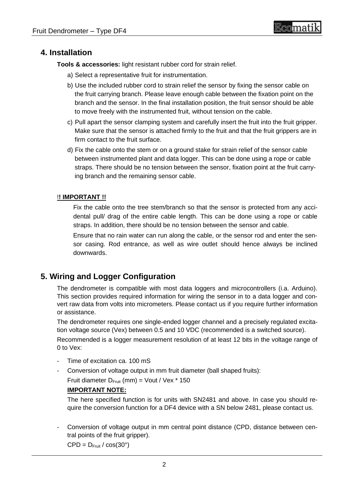### **4. Installation**

**Tools & accessories:** light resistant rubber cord for strain relief.

- a) Select a representative fruit for instrumentation.
- b) Use the included rubber cord to strain relief the sensor by fixing the sensor cable on the fruit carrying branch. Please leave enough cable between the fixation point on the branch and the sensor. In the final installation position, the fruit sensor should be able to move freely with the instrumented fruit, without tension on the cable.
- c) Pull apart the sensor clamping system and carefully insert the fruit into the fruit gripper. Make sure that the sensor is attached firmly to the fruit and that the fruit grippers are in firm contact to the fruit surface.
- d) Fix the cable onto the stem or on a ground stake for strain relief of the sensor cable between instrumented plant and data logger. This can be done using a rope or cable straps. There should be no tension between the sensor, fixation point at the fruit carrying branch and the remaining sensor cable.

#### !**! IMPORTANT !!**

Fix the cable onto the tree stem/branch so that the sensor is protected from any accidental pull/ drag of the entire cable length. This can be done using a rope or cable straps. In addition, there should be no tension between the sensor and cable.

Ensure that no rain water can run along the cable, or the sensor rod and enter the sensor casing. Rod entrance, as well as wire outlet should hence always be inclined downwards.

## **5. Wiring and Logger Configuration**

The dendrometer is compatible with most data loggers and microcontrollers (i.a. Arduino). This section provides required information for wiring the sensor in to a data logger and convert raw data from volts into micrometers. Please contact us if you require further information or assistance.

The dendrometer requires one single-ended logger channel and a precisely regulated excitation voltage source (Vex) between 0.5 and 10 VDC (recommended is a switched source).

Recommended is a logger measurement resolution of at least 12 bits in the voltage range of 0 to Vex:

- Time of excitation ca. 100 mS
- Conversion of voltage output in mm fruit diameter (ball shaped fruits):

Fruit diameter  $D_{Fruit}$  (mm) = Vout / Vex  $*$  150

#### **IMPORTANT NOTE:**

The here specified function is for units with SN2481 and above. In case you should require the conversion function for a DF4 device with a SN below 2481, please contact us.

- Conversion of voltage output in mm central point distance (CPD, distance between central points of the fruit gripper).

 $CPD = D_{Fruit} / \cos(30^\circ)$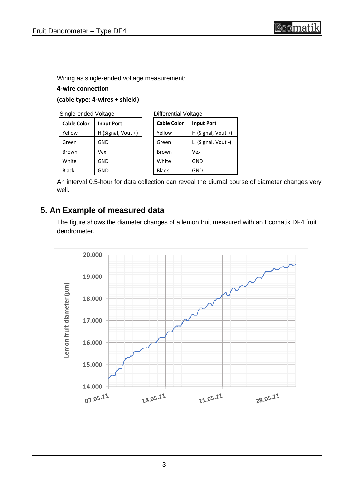Wiring as single-ended voltage measurement:

#### **4-wire connection**

#### **(cable type: 4-wires + shield)**

| <b>Cable Color</b> | <b>Input Port</b>  |
|--------------------|--------------------|
| Yellow             | H (Signal, Vout +) |
| Green              | GND                |
| Brown              | Vex                |
| White              | GND                |
| Black              | GND                |

| <b>Differential Voltage</b> |                    |  |
|-----------------------------|--------------------|--|
| <b>Cable Color</b>          | <b>Input Port</b>  |  |
| Yellow                      | H (Signal, Vout +) |  |
| Green                       | L (Signal, Vout -) |  |
| Brown                       | Vex                |  |
| White                       | GND                |  |
| Black                       | GND                |  |

An interval 0.5-hour for data collection can reveal the diurnal course of diameter changes very well.

## **5. An Example of measured data**

The figure shows the diameter changes of a lemon fruit measured with an Ecomatik DF4 fruit dendrometer.